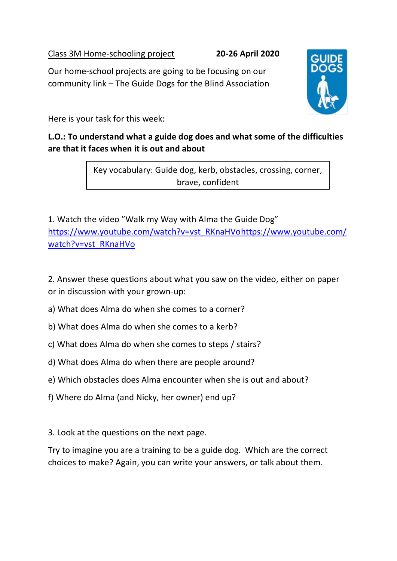Class 3M Home-schooling project **20-26 April 2020**

Our home-school projects are going to be focusing on our community link – The Guide Dogs for the Blind Association



#### **L.O.: To understand what a guide dog does and what some of the difficulties are that it faces when it is out and about**

Key vocabulary: Guide dog, kerb, obstacles, crossing, corner, brave, confident

1. Watch the video "Walk my Way with Alma the Guide Dog" [https://www.youtube.com/watch?v=vst\\_RKnaHVohttps://www.youtube.com/](https://www.youtube.com/watch?v=vst_RKnaHVo) [watch?v=vst\\_RKnaHVo](https://www.youtube.com/watch?v=vst_RKnaHVo)

2. Answer these questions about what you saw on the video, either on paper or in discussion with your grown-up:

- a) What does Alma do when she comes to a corner?
- b) What does Alma do when she comes to a kerb?
- c) What does Alma do when she comes to steps / stairs?
- d) What does Alma do when there are people around?
- e) Which obstacles does Alma encounter when she is out and about?
- f) Where do Alma (and Nicky, her owner) end up?

3. Look at the questions on the next page.

Try to imagine you are a training to be a guide dog. Which are the correct choices to make? Again, you can write your answers, or talk about them.

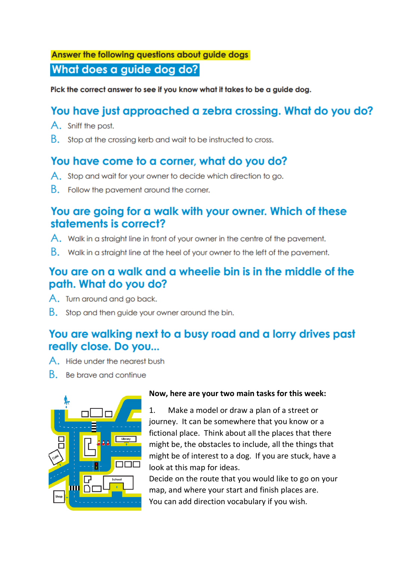# Answer the following questions about guide dogs What does a guide dog do?

Pick the correct answer to see if you know what it takes to be a guide dog.

# You have just approached a zebra crossing. What do you do?

- A. Sniff the post.
- B. Stop at the crossing kerb and wait to be instructed to cross.

## You have come to a corner, what do you do?

- A. Stop and wait for your owner to decide which direction to go.
- B. Follow the pavement around the corner.

### You are going for a walk with your owner. Which of these statements is correct?

- A. Walk in a straight line in front of your owner in the centre of the pavement.
- B. Walk in a straight line at the heel of your owner to the left of the pavement.

### You are on a walk and a wheelie bin is in the middle of the path. What do you do?

- A. Turn around and go back.
- B. Stop and then quide your owner around the bin.

## You are walking next to a busy road and a lorry drives past really close. Do you...

- A. Hide under the nearest bush
- B. Be brave and continue



#### Now, here are your two main tasks for this week:

 $1.$ Make a model or draw a plan of a street or journey. It can be somewhere that you know or a fictional place. Think about all the places that there might be, the obstacles to include, all the things that might be of interest to a dog. If you are stuck, have a look at this map for ideas.

Decide on the route that you would like to go on your map, and where your start and finish places are. You can add direction vocabulary if you wish.